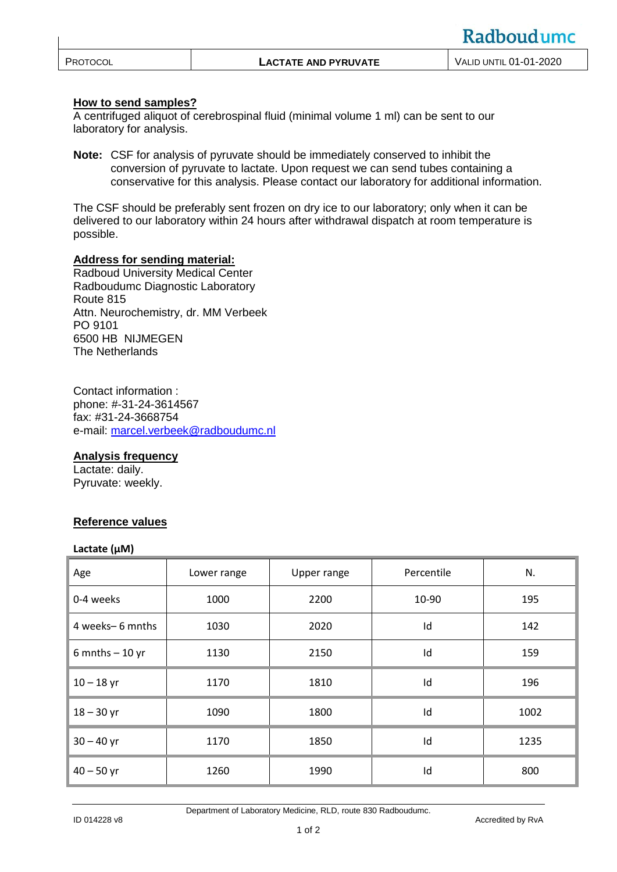|                                                                          | <u>INUUVUU UIIIU</u> |
|--------------------------------------------------------------------------|----------------------|
| <b>VALID UNTIL 01-01-2020</b><br>PROTOCOL<br><b>LACTATE AND PYRUVATE</b> |                      |

# **How to send samples?**

A centrifuged aliquot of cerebrospinal fluid (minimal volume 1 ml) can be sent to our laboratory for analysis.

**Note:** CSF for analysis of pyruvate should be immediately conserved to inhibit the conversion of pyruvate to lactate. Upon request we can send tubes containing a conservative for this analysis. Please contact our laboratory for additional information.

The CSF should be preferably sent frozen on dry ice to our laboratory; only when it can be delivered to our laboratory within 24 hours after withdrawal dispatch at room temperature is possible.

### **Address for sending material:**

Radboud University Medical Center Radboudumc Diagnostic Laboratory Route 815 Attn. Neurochemistry, dr. MM Verbeek PO 9101 6500 HB NIJMEGEN The Netherlands

Contact information : phone: #-31-24-3614567 fax: #31-24-3668754 e-mail: [marcel.verbeek@radboudumc.nl](http://qportaal.umcn.nl/iProva/management/hyperlinkloader.aspx?hyperlinkid=99649654-77dd-485d-bc62-a9c7d607b2d6)

### **Analysis frequency**

Lactate: daily. Pyruvate: weekly.

### **Reference values**

#### **Lactate (µM)**

| Age                | Lower range | Upper range | Percentile | N.   |
|--------------------|-------------|-------------|------------|------|
| 0-4 weeks          | 1000        | 2200        | 10-90      | 195  |
| 4 weeks-6 mnths    | 1030        | 2020        | Id         | 142  |
| $6$ mnths $-10$ yr | 1130        | 2150        | Id         | 159  |
| $10 - 18$ yr       | 1170        | 1810        | Id         | 196  |
| $18 - 30$ yr       | 1090        | 1800        | Id         | 1002 |
| $30 - 40$ yr       | 1170        | 1850        | Id         | 1235 |
| $40 - 50$ yr       | 1260        | 1990        | Id         | 800  |

Department of Laboratory Medicine, RLD, route 830 Radboudumc.

Radhoudumc